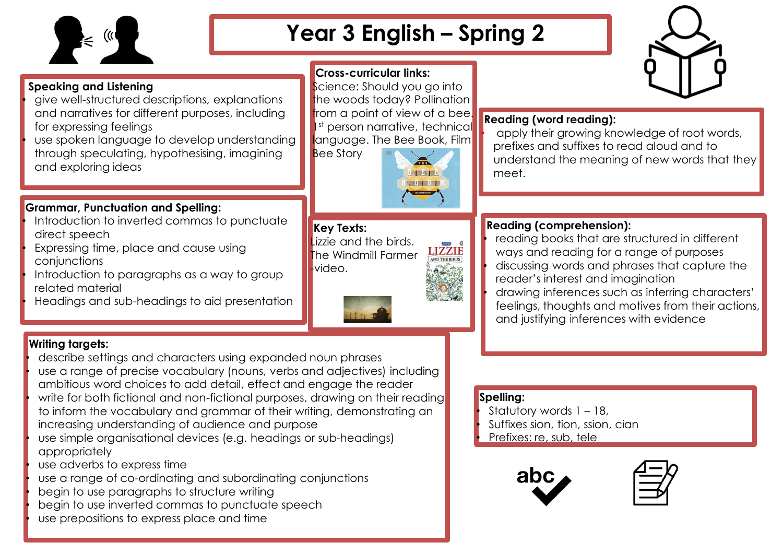

## **Year 3 English – Spring 2**



#### **Speaking and Listening**

- give well-structured descriptions, explanations and narratives for different purposes, including for expressing feelings
- use spoken language to develop understanding through speculating, hypothesising, imagining and exploring ideas

## **Cross-curricular links:**

Science: Should you go into the woods today? Pollination from a point of view of a bee. 1<sup>st</sup> person narrative, technical language. The Bee Book, Film **Bee Story** 



#### **Grammar, Punctuation and Spelling:**

- Introduction to inverted commas to punctuate direct speech
- Expressing time, place and cause using conjunctions
- Introduction to paragraphs as a way to group related material
- Headings and sub-headings to aid presentation

## **Key Texts:**

Lizzie and the birds. The Windmill Farmer -video.



### **Reading (word reading):**

• apply their growing knowledge of root words, prefixes and suffixes to read aloud and to understand the meaning of new words that they meet.

## **Reading (comprehension):**

• reading books that are structured in different ways and reading for a range of purposes • discussing words and phrases that capture the reader's interest and imagination • drawing inferences such as inferring characters' feelings, thoughts and motives from their actions, and justifying inferences with evidence

#### **Writing targets:**

- describe settings and characters using expanded noun phrases
- use a range of precise vocabulary (nouns, verbs and adjectives) including ambitious word choices to add detail, effect and engage the reader
- write for both fictional and non-fictional purposes, drawing on their reading to inform the vocabulary and grammar of their writing, demonstrating an increasing understanding of audience and purpose
- use simple organisational devices (e.g. headings or sub-headings) appropriately
- use adverbs to express time
- use a range of co-ordinating and subordinating conjunctions
- begin to use paragraphs to structure writing
- begin to use inverted commas to punctuate speech
- use prepositions to express place and time

#### **Spelling:**

• Statutory words 1 – 18, • Suffixes sion, tion, ssion, cian Prefixes: re, sub, tele